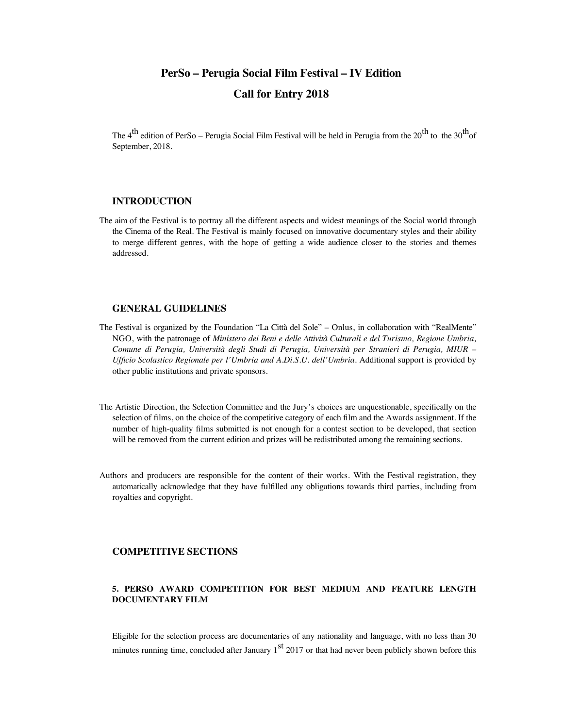# **PerSo – Perugia Social Film Festival – IV Edition Call for Entry 2018**

The 4<sup>th</sup> edition of PerSo – Perugia Social Film Festival will be held in Perugia from the 20<sup>th</sup> to the 30<sup>th</sup>of September, 2018.

# **INTRODUCTION**

The aim of the Festival is to portray all the different aspects and widest meanings of the Social world through the Cinema of the Real. The Festival is mainly focused on innovative documentary styles and their ability to merge different genres, with the hope of getting a wide audience closer to the stories and themes addressed.

# **GENERAL GUIDELINES**

- The Festival is organized by the Foundation "La Città del Sole" Onlus, in collaboration with "RealMente" NGO, with the patronage of *Ministero dei Beni e delle Attività Culturali e del Turismo, Regione Umbria, Comune di Perugia, Università degli Studi di Perugia, Università per Stranieri di Perugia, MIUR – Ufficio Scolastico Regionale per l'Umbria and A.Di.S.U. dell'Umbria.* Additional support is provided by other public institutions and private sponsors.
- The Artistic Direction, the Selection Committee and the Jury's choices are unquestionable, specifically on the selection of films, on the choice of the competitive category of each film and the Awards assignment. If the number of high-quality films submitted is not enough for a contest section to be developed, that section will be removed from the current edition and prizes will be redistributed among the remaining sections.
- Authors and producers are responsible for the content of their works. With the Festival registration, they automatically acknowledge that they have fulfilled any obligations towards third parties, including from royalties and copyright.

# **COMPETITIVE SECTIONS**

# **5. PERSO AWARD COMPETITION FOR BEST MEDIUM AND FEATURE LENGTH DOCUMENTARY FILM**

Eligible for the selection process are documentaries of any nationality and language, with no less than 30 minutes running time, concluded after January  $1<sup>st</sup>$  2017 or that had never been publicly shown before this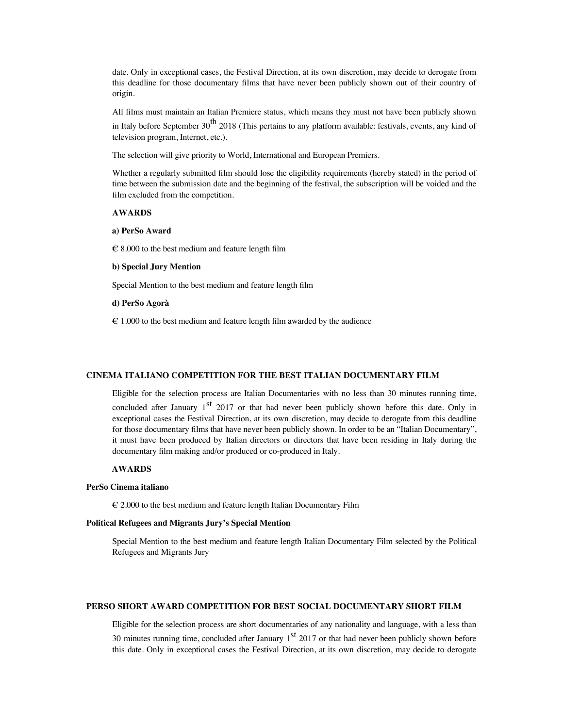date. Only in exceptional cases, the Festival Direction, at its own discretion, may decide to derogate from this deadline for those documentary films that have never been publicly shown out of their country of origin.

All films must maintain an Italian Premiere status, which means they must not have been publicly shown in Italy before September  $30^{th}$  2018 (This pertains to any platform available: festivals, events, any kind of television program, Internet, etc.).

The selection will give priority to World, International and European Premiers.

Whether a regularly submitted film should lose the eligibility requirements (hereby stated) in the period of time between the submission date and the beginning of the festival, the subscription will be voided and the film excluded from the competition.

#### **AWARDS**

#### **a) PerSo Award**

 $\epsilon$  8.000 to the best medium and feature length film

#### **b) Special Jury Mention**

Special Mention to the best medium and feature length film

# **d) PerSo Agorà**

 $\epsilon$  1.000 to the best medium and feature length film awarded by the audience

# **CINEMA ITALIANO COMPETITION FOR THE BEST ITALIAN DOCUMENTARY FILM**

Eligible for the selection process are Italian Documentaries with no less than 30 minutes running time,

concluded after January  $1<sup>st</sup>$  2017 or that had never been publicly shown before this date. Only in exceptional cases the Festival Direction, at its own discretion, may decide to derogate from this deadline for those documentary films that have never been publicly shown. In order to be an "Italian Documentary", it must have been produced by Italian directors or directors that have been residing in Italy during the documentary film making and/or produced or co-produced in Italy.

# **AWARDS**

#### **PerSo Cinema italiano**

€ 2.000 to the best medium and feature length Italian Documentary Film

#### **Political Refugees and Migrants Jury's Special Mention**

Special Mention to the best medium and feature length Italian Documentary Film selected by the Political Refugees and Migrants Jury

# **PERSO SHORT AWARD COMPETITION FOR BEST SOCIAL DOCUMENTARY SHORT FILM**

Eligible for the selection process are short documentaries of any nationality and language, with a less than 30 minutes running time, concluded after January  $1<sup>st</sup>$  2017 or that had never been publicly shown before this date. Only in exceptional cases the Festival Direction, at its own discretion, may decide to derogate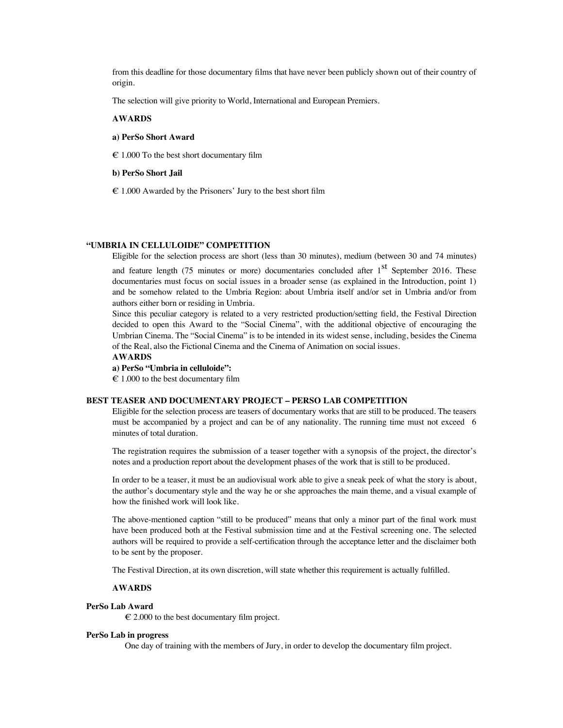from this deadline for those documentary films that have never been publicly shown out of their country of origin.

The selection will give priority to World, International and European Premiers.

#### **AWARDS**

# **a) PerSo Short Award**

 $\epsilon$  1.000 To the best short documentary film

# **b) PerSo Short Jail**

 $\epsilon$  1.000 Awarded by the Prisoners' Jury to the best short film

#### **"UMBRIA IN CELLULOIDE" COMPETITION**

Eligible for the selection process are short (less than 30 minutes), medium (between 30 and 74 minutes)

and feature length (75 minutes or more) documentaries concluded after  $1<sup>st</sup>$  September 2016. These documentaries must focus on social issues in a broader sense (as explained in the Introduction, point 1) and be somehow related to the Umbria Region: about Umbria itself and/or set in Umbria and/or from authors either born or residing in Umbria.

Since this peculiar category is related to a very restricted production/setting field, the Festival Direction decided to open this Award to the "Social Cinema", with the additional objective of encouraging the Umbrian Cinema. The "Social Cinema" is to be intended in its widest sense, including, besides the Cinema of the Real, also the Fictional Cinema and the Cinema of Animation on social issues.

#### **AWARDS**

**a) PerSo "Umbria in celluloide":** 

 $\epsilon$  1.000 to the best documentary film

#### **BEST TEASER AND DOCUMENTARY PROJECT – PERSO LAB COMPETITION**

Eligible for the selection process are teasers of documentary works that are still to be produced. The teasers must be accompanied by a project and can be of any nationality. The running time must not exceed 6 minutes of total duration.

The registration requires the submission of a teaser together with a synopsis of the project, the director's notes and a production report about the development phases of the work that is still to be produced.

In order to be a teaser, it must be an audiovisual work able to give a sneak peek of what the story is about, the author's documentary style and the way he or she approaches the main theme, and a visual example of how the finished work will look like.

The above-mentioned caption "still to be produced" means that only a minor part of the final work must have been produced both at the Festival submission time and at the Festival screening one. The selected authors will be required to provide a self-certification through the acceptance letter and the disclaimer both to be sent by the proposer.

The Festival Direction, at its own discretion, will state whether this requirement is actually fulfilled.

#### **AWARDS**

#### **PerSo Lab Award**

 $\epsilon$  2.000 to the best documentary film project.

#### **PerSo Lab in progress**

One day of training with the members of Jury, in order to develop the documentary film project.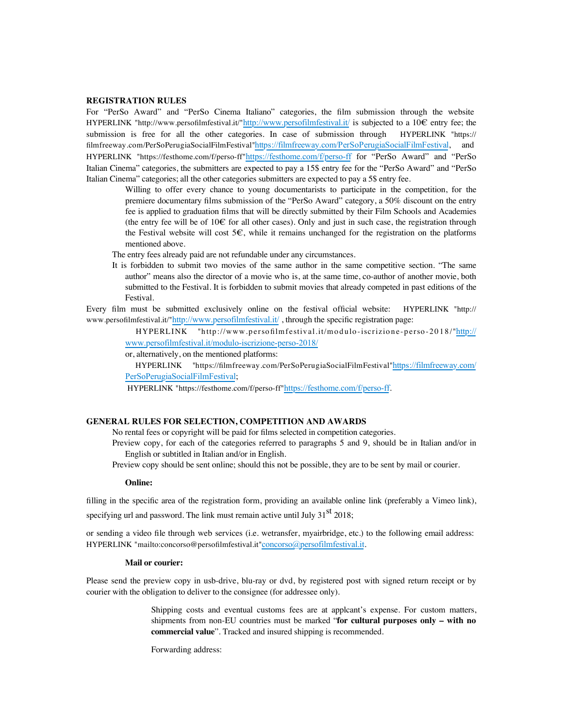# **REGISTRATION RULES**

For "PerSo Award" and "PerSo Cinema Italiano" categories, the film submission through the website HYPERLINK "http://www.persofilmfestival.it/"http://www.persofilmfestival.it/ is subjected to a 10€ entry fee; the submission is free for all the other categories. In case of submission through HYPERLINK "https:// filmfreeway.com/PerSoPerugiaSocialFilmFestival"https://filmfreeway.com/PerSoPerugiaSocialFilmFestival, and HYPERLINK "https://festhome.com/f/perso-ff"https://festhome.com/f/perso-ff for "PerSo Award" and "PerSo Italian Cinema" categories, the submitters are expected to pay a 15\$ entry fee for the "PerSo Award" and "PerSo Italian Cinema" categories; all the other categories submitters are expected to pay a 5\$ entry fee.

Willing to offer every chance to young documentarists to participate in the competition, for the premiere documentary films submission of the "PerSo Award" category, a 50% discount on the entry fee is applied to graduation films that will be directly submitted by their Film Schools and Academies (the entry fee will be of  $10 \in$  for all other cases). Only and just in such case, the registration through the Festival website will cost  $5\epsilon$ , while it remains unchanged for the registration on the platforms mentioned above.

The entry fees already paid are not refundable under any circumstances.

It is forbidden to submit two movies of the same author in the same competitive section. "The same author" means also the director of a movie who is, at the same time, co-author of another movie, both submitted to the Festival. It is forbidden to submit movies that already competed in past editions of the Festival.

Every film must be submitted exclusively online on the festival official website: HYPERLINK "http:// www.persofilmfestival.it/"http://www.persofilmfestival.it/, through the specific registration page:

HYPERLINK "http://www.persofilmfestival.it/modulo-iscrizione-perso-2018/"http:// www.persofilmfestival.it/modulo-iscrizione-perso-2018/

or, alternatively, on the mentioned platforms:

 HYPERLINK "https://filmfreeway.com/PerSoPerugiaSocialFilmFestival"https://filmfreeway.com/ PerSoPerugiaSocialFilmFestival;

HYPERLINK "https://festhome.com/f/perso-ff"https://festhome.com/f/perso-ff.

# **GENERAL RULES FOR SELECTION, COMPETITION AND AWARDS**

No rental fees or copyright will be paid for films selected in competition categories.

Preview copy, for each of the categories referred to paragraphs 5 and 9, should be in Italian and/or in English or subtitled in Italian and/or in English.

Preview copy should be sent online; should this not be possible, they are to be sent by mail or courier.

# **Online:**

filling in the specific area of the registration form, providing an available online link (preferably a Vimeo link), specifying url and password. The link must remain active until July  $31<sup>st</sup> 2018$ ;

or sending a video file through web services (i.e. wetransfer, myairbridge, etc.) to the following email address: HYPERLINK "mailto:concorso@persofilmfestival.it"concorso@persofilmfestival.it.

#### **Mail or courier:**

Please send the preview copy in usb-drive, blu-ray or dvd, by registered post with signed return receipt or by courier with the obligation to deliver to the consignee (for addressee only).

> Shipping costs and eventual customs fees are at applcant's expense. For custom matters, shipments from non-EU countries must be marked "**for cultural purposes only – with no commercial value**". Tracked and insured shipping is recommended.

Forwarding address: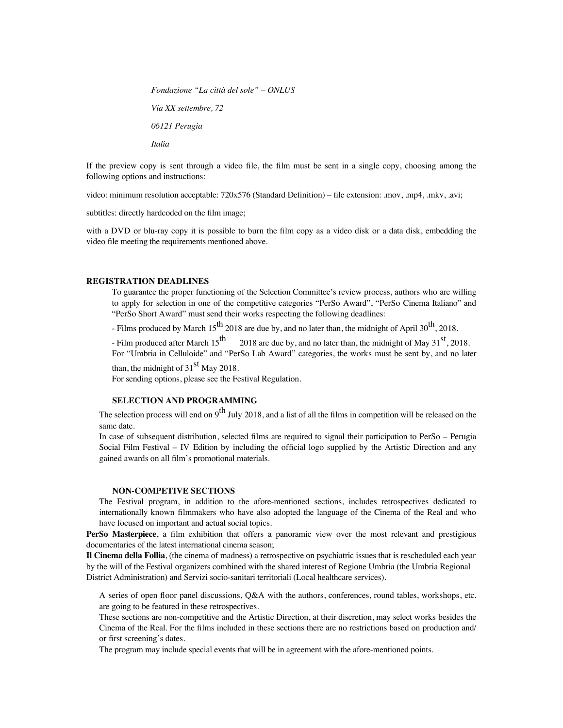*Fondazione "La città del sole" – ONLUS Via XX settembre, 72 06121 Perugia Italia*

If the preview copy is sent through a video file, the film must be sent in a single copy, choosing among the following options and instructions:

video: minimum resolution acceptable: 720x576 (Standard Definition) – file extension: .mov, .mp4, .mkv, .avi;

subtitles: directly hardcoded on the film image;

with a DVD or blu-ray copy it is possible to burn the film copy as a video disk or a data disk, embedding the video file meeting the requirements mentioned above.

#### **REGISTRATION DEADLINES**

To guarantee the proper functioning of the Selection Committee's review process, authors who are willing to apply for selection in one of the competitive categories "PerSo Award", "PerSo Cinema Italiano" and "PerSo Short Award" must send their works respecting the following deadlines:

- Films produced by March  $15^{th}$  2018 are due by, and no later than, the midnight of April 30<sup>th</sup>, 2018.

- Film produced after March  $15^{th}$  2018 are due by, and no later than, the midnight of May  $31^{st}$ , 2018. For "Umbria in Celluloide" and "PerSo Lab Award" categories, the works must be sent by, and no later

than, the midnight of  $31<sup>st</sup>$  May 2018.

For sending options, please see the Festival Regulation.

# **SELECTION AND PROGRAMMING**

The selection process will end on  $9^{th}$  July 2018, and a list of all the films in competition will be released on the same date.

In case of subsequent distribution, selected films are required to signal their participation to PerSo – Perugia Social Film Festival – IV Edition by including the official logo supplied by the Artistic Direction and any gained awards on all film's promotional materials.

# **NON-COMPETIVE SECTIONS**

The Festival program, in addition to the afore-mentioned sections, includes retrospectives dedicated to internationally known filmmakers who have also adopted the language of the Cinema of the Real and who have focused on important and actual social topics.

**PerSo Masterpiece**, a film exhibition that offers a panoramic view over the most relevant and prestigious documentaries of the latest international cinema season;

**Il Cinema della Follia**, (the cinema of madness) a retrospective on psychiatric issues that is rescheduled each year by the will of the Festival organizers combined with the shared interest of Regione Umbria (the Umbria Regional District Administration) and Servizi socio-sanitari territoriali (Local healthcare services).

A series of open floor panel discussions, Q&A with the authors, conferences, round tables, workshops, etc. are going to be featured in these retrospectives.

These sections are non-competitive and the Artistic Direction, at their discretion, may select works besides the Cinema of the Real. For the films included in these sections there are no restrictions based on production and/ or first screening's dates.

The program may include special events that will be in agreement with the afore-mentioned points.